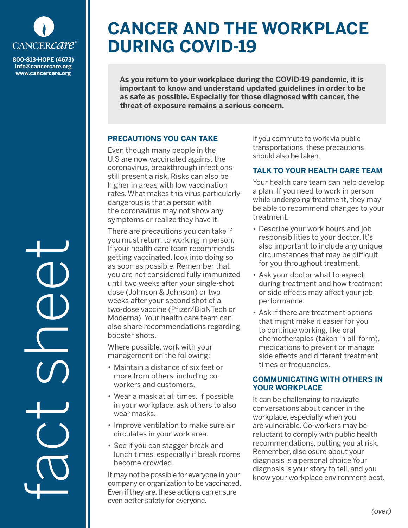

**info@cancercare.org www.cancercare.org**

fact se

# **CANCER AND THE WORKPLACE DURING COVID-19**

**As you return to your workplace during the COVID-19 pandemic, it is important to know and understand updated guidelines in order to be as safe as possible. Especially for those diagnosed with cancer, the threat of exposure remains a serious concern.**

### **PRECAUTIONS YOU CAN TAKE**

Even though many people in the U.S are now vaccinated against the coronavirus, breakthrough infections still present a risk. Risks can also be higher in areas with low vaccination rates. What makes this virus particularly dangerous is that a person with the coronavirus may not show any symptoms or realize they have it.

There are precautions you can take if you must return to working in person. If your health care team recommends getting vaccinated, look into doing so as soon as possible. Remember that you are not considered fully immunized until two weeks after your single-shot dose (Johnson & Johnson) or two weeks after your second shot of a two-dose vaccine (Pfizer/BioNTech or Moderna). Your health care team can also share recommendations regarding booster shots.

Where possible, work with your management on the following:

- Maintain a distance of six feet or more from others, including coworkers and customers.
- Wear a mask at all times. If possible in your workplace, ask others to also wear masks.
- Improve ventilation to make sure air circulates in your work area.
- See if you can stagger break and lunch times, especially if break rooms become crowded.

It may not be possible for everyone in your company or organization to be vaccinated. Even if they are, these actions can ensure even better safety for everyone.

If you commute to work via public transportations, these precautions should also be taken.

## **TALK TO YOUR HEALTH CARE TEAM**

Your health care team can help develop a plan. If you need to work in person while undergoing treatment, they may be able to recommend changes to your treatment.

- Describe your work hours and job responsibilities to your doctor. It's also important to include any unique circumstances that may be difficult for you throughout treatment.
- Ask your doctor what to expect during treatment and how treatment or side effects may affect your job performance.
- Ask if there are treatment options that might make it easier for you to continue working, like oral chemotherapies (taken in pill form), medications to prevent or manage side effects and different treatment times or frequencies.

#### **COMMUNICATING WITH OTHERS IN YOUR WORKPLACE**

It can be challenging to navigate conversations about cancer in the workplace, especially when you are vulnerable. Co-workers may be reluctant to comply with public health recommendations, putting you at risk. Remember, disclosure about your diagnosis is a personal choice Your diagnosis is your story to tell, and you know your workplace environment best.